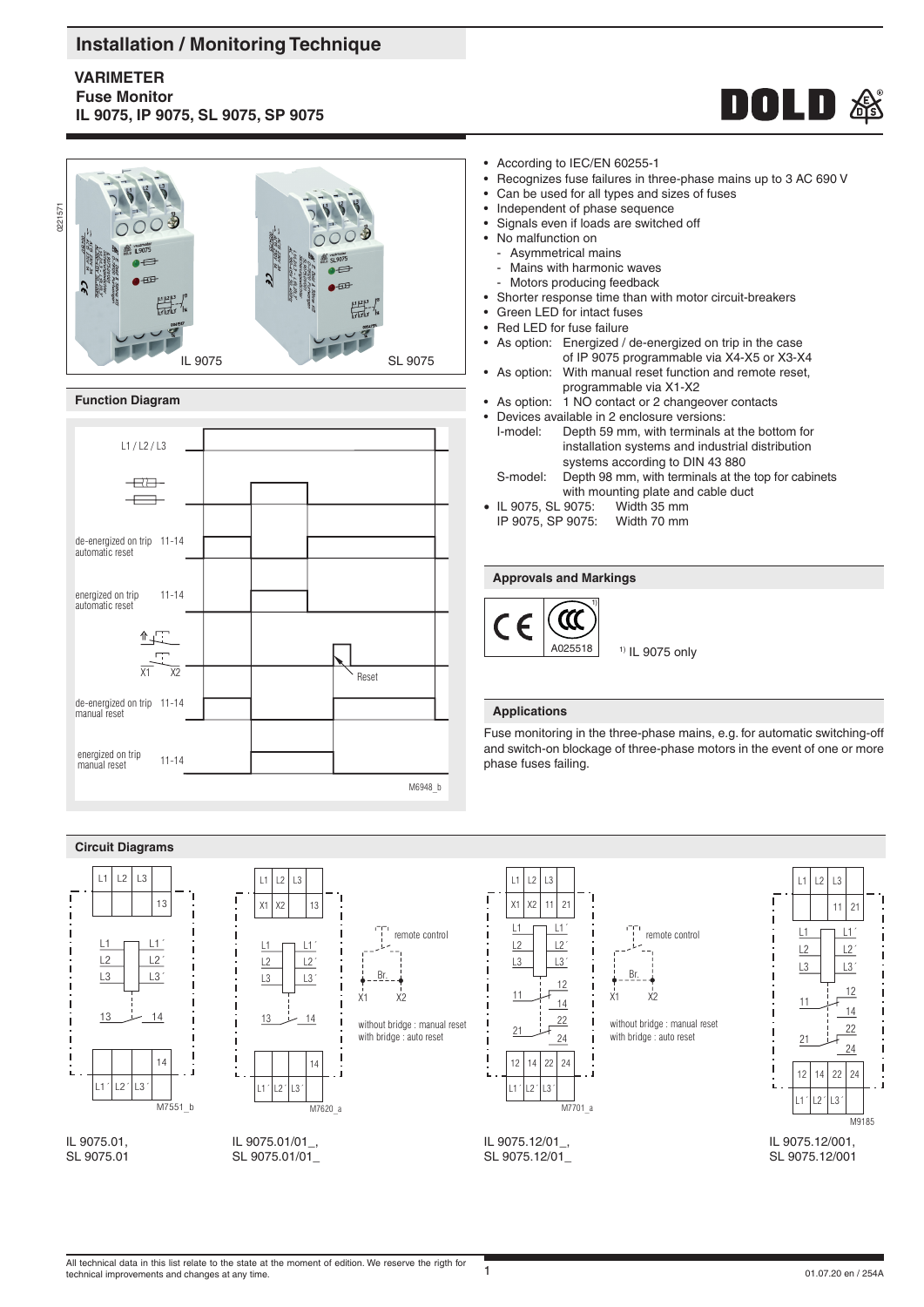# **Installation / Monitoring Technique**

# **VARIMETER Fuse Monitor IL 9075, IP 9075, SL 9075, SP 9075**





## **Function Diagram**



- According to IEC/EN 60255-1
- Recognizes fuse failures in three-phase mains up to 3 AC 690 V
- Can be used for all types and sizes of fuses
- Independent of phase sequence
- Signals even if loads are switched off
- No malfunction on
	- Asymmetrical mains
	- Mains with harmonic waves
- Motors producing feedback
- Shorter response time than with motor circuit-breakers
- Green LED for intact fuses
- Red LED for fuse failure
- As option: Energized / de-energized on trip in the case of IP 9075 programmable via X4-X5 or X3-X4
- As option: With manual reset function and remote reset, programmable via X1-X2
- As option: 1 NO contact or 2 changeover contacts
- Devices available in 2 enclosure versions:<br>I-model: Depth 59 mm, with terminals a
- Depth 59 mm, with terminals at the bottom for installation systems and industrial distribution systems according to DIN 43 880<br>S-model: Depth 98 mm, with terminals at the Depth 98 mm, with terminals at the top for cabinets
- with mounting plate and cable duct<br>9075: Width 35 mm
- IL 9075, SL 9075: Width 35 mm<br>IP 9075. SP 9075: Width 70 mm
- IP 9075, SP 9075:

## **Approvals and Markings**



## **Applications**

Fuse monitoring in the three-phase mains, e.g. for automatic switching-off and switch-on blockage of three-phase motors in the event of one or more phase fuses failing.

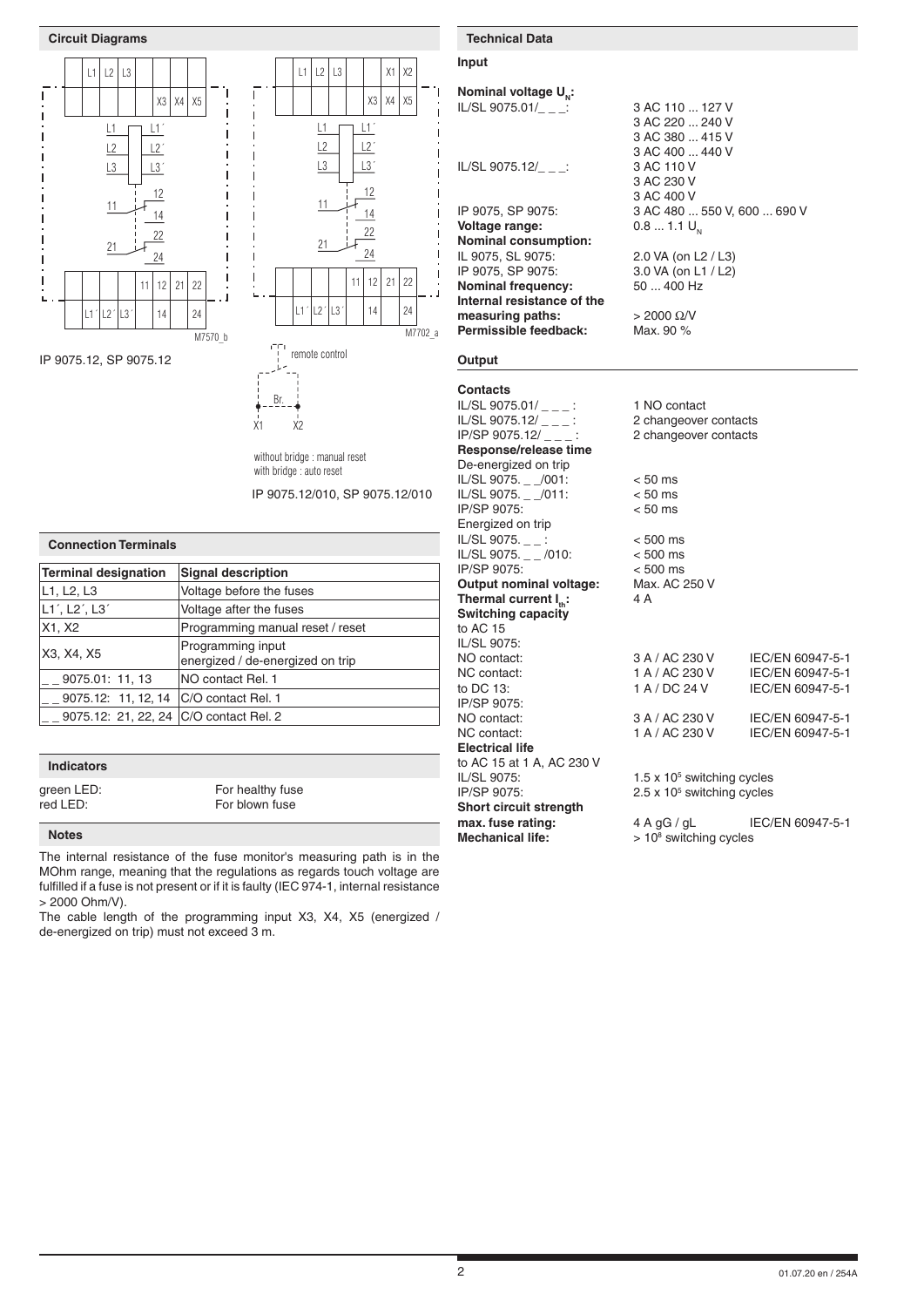





without bridge : manual reset with bridge : auto reset

X1 X2

IP 9075.12/010, SP 9075.12/010

| <b>Connection Terminals</b>                           |  |  |  |  |
|-------------------------------------------------------|--|--|--|--|
| <b>Signal description</b>                             |  |  |  |  |
| Voltage before the fuses                              |  |  |  |  |
| Voltage after the fuses                               |  |  |  |  |
| Programming manual reset / reset                      |  |  |  |  |
| Programming input<br>energized / de-energized on trip |  |  |  |  |
| NO contact Rel. 1                                     |  |  |  |  |
| 9075.12: 11, 12, 14   C/O contact Rel. 1              |  |  |  |  |
| 9075.12: 21, 22, 24   C/O contact Rel. 2              |  |  |  |  |
|                                                       |  |  |  |  |

## **Indicators**

green LED: For healthy fuse<br>
red LED: For blown fuse For blown fuse

### **Notes**

The internal resistance of the fuse monitor's measuring path is in the MOhm range, meaning that the regulations as regards touch voltage are fulfilled if a fuse is not present or if it is faulty (IEC 974-1, internal resistance > 2000 Ohm/V).

The cable length of the programming input X3, X4, X5 (energized / de-energized on trip) must not exceed 3 m.

# **Input**

| Nominal voltage U <sub>N</sub> :                        |                                        |                  |
|---------------------------------------------------------|----------------------------------------|------------------|
| IL/SL 9075.01/ $\_$ $\_$ :                              | 3 AC 110  127 V                        |                  |
|                                                         | 3 AC 220  240 V                        |                  |
|                                                         | 3 AC 380  415 V                        |                  |
|                                                         | 3 AC 400  440 V                        |                  |
| IL/SL 9075.12/_ _ _:                                    | 3 AC 110 V                             |                  |
|                                                         | 3 AC 230 V                             |                  |
|                                                         | 3 AC 400 V                             |                  |
| IP 9075, SP 9075:                                       | 3 AC 480  550 V, 600  690 V            |                  |
| Voltage range:                                          | $0.81.1 U_{N}$                         |                  |
| <b>Nominal consumption:</b>                             |                                        |                  |
| IL 9075, SL 9075:                                       | 2.0 VA (on L2 / L3)                    |                  |
| IP 9075, SP 9075:                                       | 3.0 VA (on L1 / L2)<br>50  400 Hz      |                  |
| <b>Nominal frequency:</b><br>Internal resistance of the |                                        |                  |
| measuring paths:                                        | $> 2000 \Omega/V$                      |                  |
| Permissible feedback:                                   | Max. 90 %                              |                  |
|                                                         |                                        |                  |
| Output                                                  |                                        |                  |
| <b>Contacts</b>                                         |                                        |                  |
| IL/SL 9075.01/ $_{---}$ :                               | 1 NO contact                           |                  |
| IL/SL 9075.12/ $\_{--}$ :                               | 2 changeover contacts                  |                  |
| IP/SP 9075.12/ $\_\_$                                   | 2 changeover contacts                  |                  |
| Response/release time                                   |                                        |                  |
| De-energized on trip                                    |                                        |                  |
| IL/SL 9075. _ _/001:                                    | $< 50$ ms                              |                  |
| IL/SL 9075. _ _/011:                                    | $< 50$ ms                              |                  |
| IP/SP 9075:                                             | $< 50$ ms                              |                  |
| Energized on trip                                       |                                        |                  |
| IL/SL 9075. $_{--}$ :                                   | $< 500$ ms                             |                  |
| IL/SL 9075. $_{--}$ /010:                               | $< 500$ ms                             |                  |
| IP/SP 9075:                                             | $< 500$ ms                             |                  |
| Output nominal voltage:                                 | Max. AC 250 V<br>4 A                   |                  |
| Thermal current $I_{\text{th}}$ :<br>Switching capacity |                                        |                  |
| to AC 15                                                |                                        |                  |
| IL/SL 9075:                                             |                                        |                  |
| NO contact:                                             | 3 A / AC 230 V                         | IEC/EN 60947-5-1 |
| NC contact:                                             | 1 A / AC 230 V                         | IEC/EN 60947-5-1 |
| to DC 13:                                               | 1 A / DC 24 V                          | IEC/EN 60947-5-1 |
| IP/SP 9075:                                             |                                        |                  |
| NO contact:                                             | 3 A / AC 230 V                         | IEC/EN 60947-5-1 |
| NC contact:                                             | 1 A / AC 230 V                         | IEC/EN 60947-5-1 |
| <b>Electrical life</b>                                  |                                        |                  |
| to AC 15 at 1 A, AC 230 V                               |                                        |                  |
| IL/SL 9075:                                             | $1.5 \times 10^5$ switching cycles     |                  |
| IP/SP 9075:                                             | $2.5 \times 10^5$ switching cycles     |                  |
| <b>Short circuit strength</b>                           |                                        |                  |
| mov funn rotings                                        | $\Lambda$ $\Lambda$ $\Omega$ $\Lambda$ | IEC/ENLCOOLE 1   |

**max. fuse rating:** 4 A gG / gL IEC/EN 60947-5-1 switching cycles

**Mechanical life:**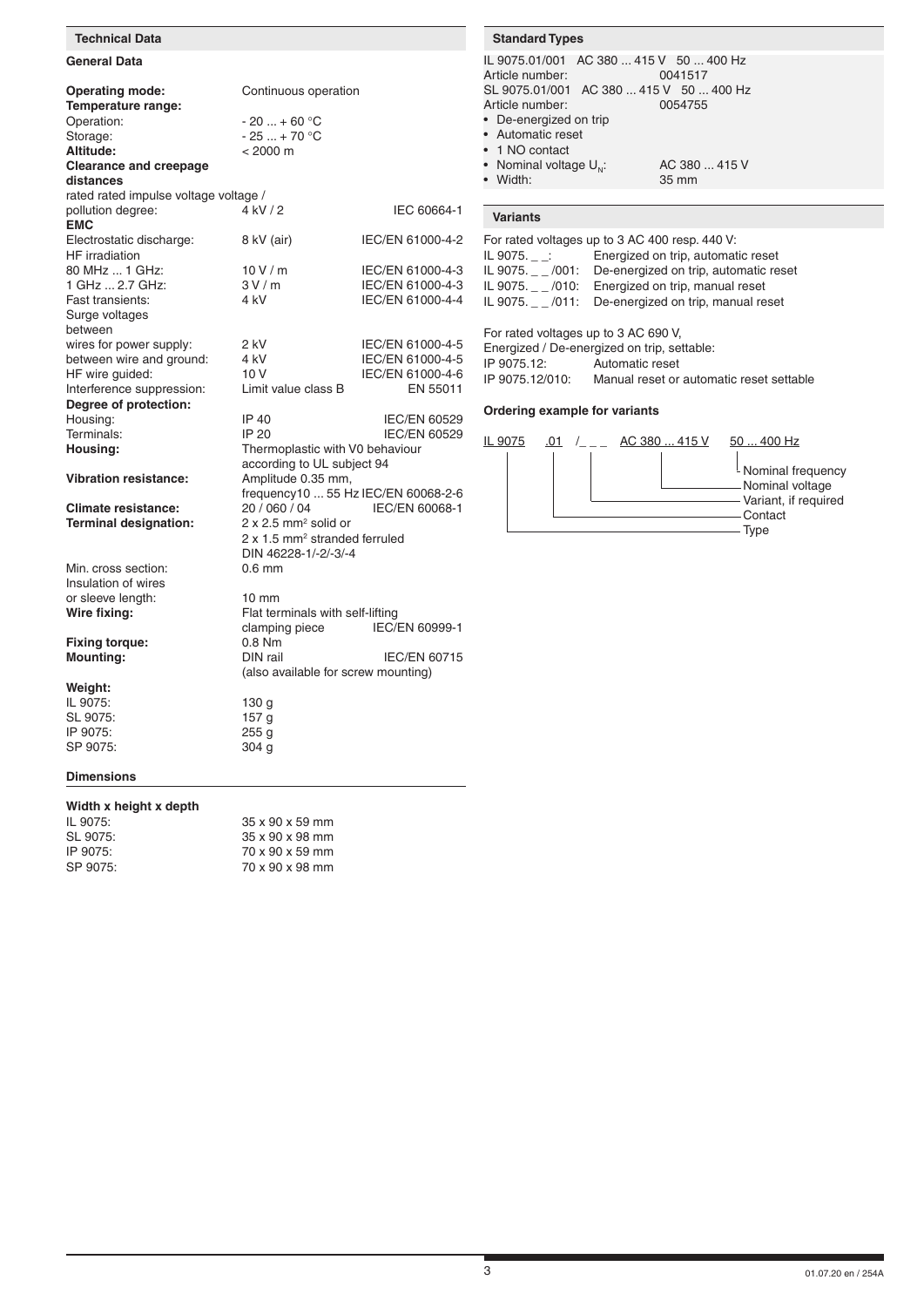## **General Data Operating mode:** Continuous operation **Temperature range:** Operation:  $-20 ... + 60 °C$ <br>Storage:  $-25 ... + 70 °C$ Storage:  $-25 ... + 70 °C$ <br>Altitude:  $< 2000 m$  $\frac{26}{1000}$  m **Clearance and creepage distances** rated rated impulse voltage voltage /<br>pollution degree: 4 kV / 2 pollution degree: 4 kV / 2 IEC 60664-1 **EMC** Electrostatic discharge: 8 kV (air) IEC/EN 61000-4-2 HF irradiation<br>80 MHz ... 1 GHz: 10 V / m IEC/EN 61000-4-3<br>3 V / m IEC/EN 61000-4-3 1 GHz ... 2.7 GHz: Fast transients: 4 kV IEC/EN 61000-4-4 Surge voltages between wires for power supply:  $2 kV$  IEC/EN 61000-4-5 between wire and ground: 4 kV IEC/EN 61000-4-5 HF wire guided: 10 V IEC/EN 61000-4-6<br>Interference suppression: I imit value class B FN 55011 Interference suppression: **Degree of protection:** IP 40 IEC/EN 60529<br>IP 20 IEC/EN 60529 Terminals: IP 20 IEC/EN 60529 Housing: Thermoplastic with V0 behaviour according to UL subject 94 **Vibration resistance:** Amplitude 0.35 mm, frequency10 ... 55 Hz IEC/EN 60068-2-6 **Climate resistance:** 20 / 060 / 04 IEC/EN 60068-1 **Terminal designation:**  $2 \times 2.5$  mm<sup>2</sup> solid or 2 x 1.5 mm<sup>2</sup> stranded ferruled DIN 46228-1/-2/-3/-4 Min. cross section: Insulation of wires or sleeve length: 10 mm **Wire fixing:** Flat terminals with self-lifting<br>clamping piece FC/EN 60999-1 clamping piece **Fixing torque:** 0.8 Nm<br> **Mounting:** DIN rail **IEC/EN 60715**  (also available for screw mounting) **Technical Data Standard Types Standard Types**

| IL 9075.01/001 AC 380  415 V 50  400 Hz<br>Article number:<br>0041517 |
|-----------------------------------------------------------------------|
| SL 9075.01/001 AC 380  415 V 50  400 Hz                               |
|                                                                       |
| Article number:<br>0054755                                            |
| • De-energized on trip                                                |
| • Automatic reset                                                     |
| • 1 NO contact                                                        |
| • Nominal voltage $U_{\omega}$ :<br>AC 380  415 V                     |
| • Width:<br>35 mm                                                     |

# **Variants**

| For rated voltages up to 3 AC 400 resp. 440 V: |                                                        |  |  |  |
|------------------------------------------------|--------------------------------------------------------|--|--|--|
| IL 9075.                                       | Energized on trip, automatic reset                     |  |  |  |
|                                                | IL 9075. _ /001: De-energized on trip, automatic reset |  |  |  |
|                                                | IL 9075. /010: Energized on trip, manual reset         |  |  |  |
|                                                | IL 9075. /011: De-energized on trip, manual reset      |  |  |  |
|                                                |                                                        |  |  |  |
| For rated voltages up to 3 AC 690 V            |                                                        |  |  |  |

| TUIT Talbu VUILayes up to 3 AO 030 V.       |                                          |  |  |  |
|---------------------------------------------|------------------------------------------|--|--|--|
| Energized / De-energized on trip, settable: |                                          |  |  |  |
| IP 9075.12:                                 | Automatic reset                          |  |  |  |
| IP 9075.12/010:                             | Manual reset or automatic reset settable |  |  |  |

### **Ordering example for variants**



**Weight:** IL 9075: 130 g SL 9075: 157 g<br>IP 9075: 255 g IP 9075: SP 9075: 304 g

# **Dimensions**

## **Width x height x depth**

| IL 9075: | $35 \times 90 \times 59$ mm |
|----------|-----------------------------|
| SL 9075: | 35 x 90 x 98 mm             |
| IP 9075: | 70 x 90 x 59 mm             |
| SP 9075: | 70 x 90 x 98 mm             |
|          |                             |